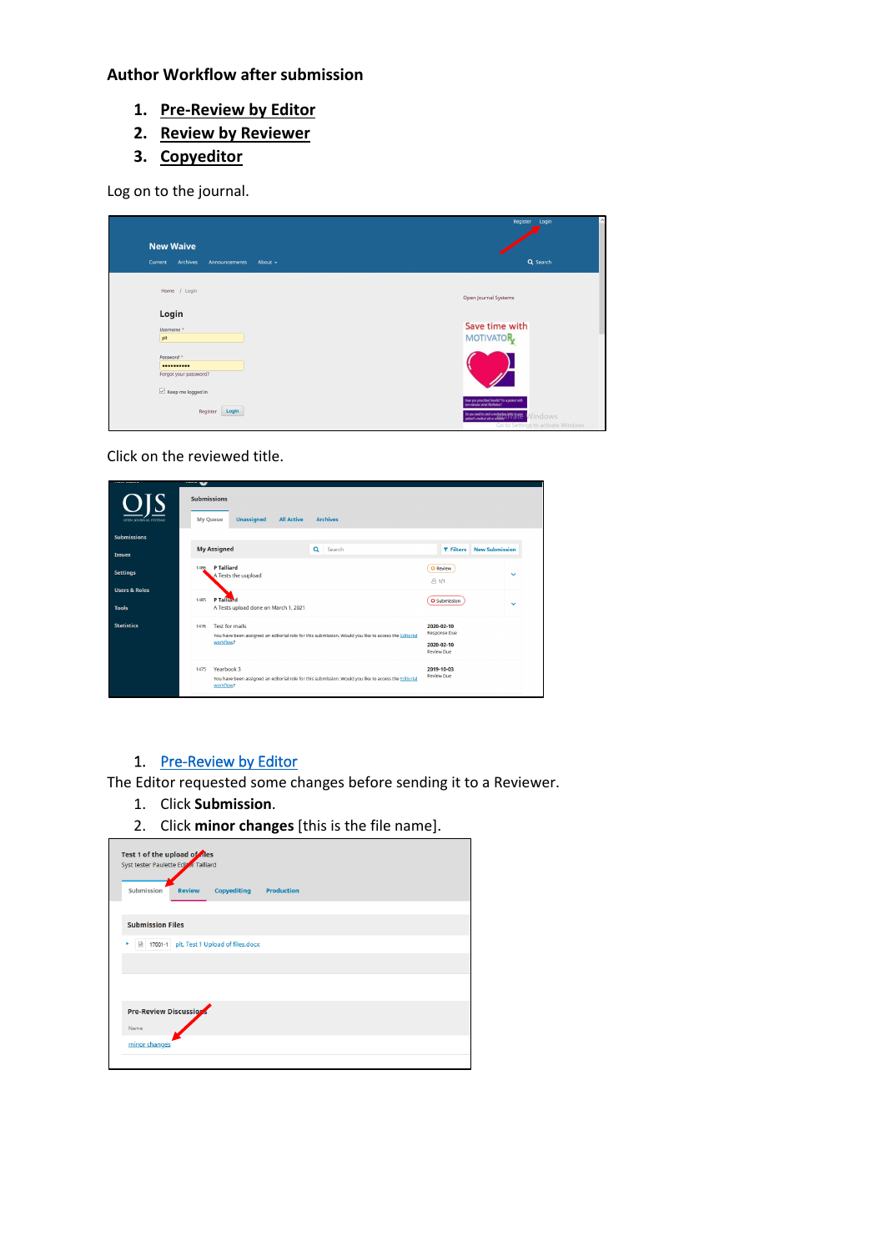## **Author Workflow after submission**

- **1. [Pre-Review by Editor](#page-0-0)**
- **2. [Review by Reviewer](#page-1-0)**
- **3. [Copyeditor](#page-3-0)**

Log on to the journal.

|                                                 | Register Login<br>$\hat{\phantom{a}}$                                                                                                        |
|-------------------------------------------------|----------------------------------------------------------------------------------------------------------------------------------------------|
| <b>New Waive</b>                                |                                                                                                                                              |
| Archives<br>Current<br>About -<br>Announcements | Q Search                                                                                                                                     |
|                                                 |                                                                                                                                              |
| Home / Login                                    | Open Journal Systems                                                                                                                         |
| Login                                           |                                                                                                                                              |
| Username <sup>*</sup>                           | Save time with                                                                                                                               |
| plt                                             | <b>MOTIVATOR</b>                                                                                                                             |
| Password *<br>                                  |                                                                                                                                              |
| Forgot your password?                           |                                                                                                                                              |
| $\boxed{\smile}$ Keep me logged in              |                                                                                                                                              |
| Login<br>Register                               | Have you prescribed Xarehis* for a patient with<br>non-valvular atrial fibrillation?<br>Do you need to send a motivation of the MATEL MOVIES |
|                                                 | Go to Settings to activate Windows.                                                                                                          |

Click on the reviewed title.

| ,,,,,,,,,,,,<br>OPEN JOURNAL SYSTEMS     | teans and<br><b>Submissions</b><br><b>Unassigned</b><br><b>My Queue</b><br><b>All Active</b><br><b>Archives</b>                                    |                                                                      |                       |
|------------------------------------------|----------------------------------------------------------------------------------------------------------------------------------------------------|----------------------------------------------------------------------|-----------------------|
| <b>Submissions</b><br><b>Issues</b>      | <b>My Assigned</b><br>Q<br>Search                                                                                                                  | <b>T</b> Filters                                                     | <b>New Submission</b> |
| <b>Settings</b>                          | <b>P Talliard</b><br>1486<br>A Tests the uupload                                                                                                   | O Review<br>811                                                      | $\checkmark$          |
| <b>Users &amp; Roles</b><br><b>Tools</b> | <b>P</b> Talliard<br>1485<br>A Tests upload done on March 1, 2021                                                                                  | O Submission                                                         | $\checkmark$          |
| <b>Statistics</b>                        | <b>Test for mails</b><br>1476<br>You have been assigned an editorial role for this submission. Would you like to access the Editorial<br>workflow? | 2020-02-10<br><b>Response Due</b><br>2020-02-10<br><b>Review Due</b> |                       |
|                                          | Yearbook 3<br>1475<br>You have been assigned an editorial role for this submission. Would you like to access the Editorial<br>workflow?            | 2019-10-03<br><b>Review Due</b>                                      |                       |

## <span id="page-0-0"></span>1. [Pre-Review by Editor](#page-0-0)

The Editor requested some changes before sending it to a Reviewer.

- 1. Click **Submission**.
- 2. Click **minor changes** [this is the file name].

| Test 1 of the upload of fles<br>Syst tester Paulette Editor Talliard |               |                                          |                   |  |
|----------------------------------------------------------------------|---------------|------------------------------------------|-------------------|--|
| <b>Submission</b>                                                    | <b>Review</b> | <b>Copyediting</b>                       | <b>Production</b> |  |
| <b>Submission Files</b>                                              |               |                                          |                   |  |
| ×                                                                    |               | 17001-1 plt, Test 1 Upload of files.docx |                   |  |
|                                                                      |               |                                          |                   |  |
|                                                                      |               |                                          |                   |  |
| Pre-Review Discussions<br>Name                                       |               |                                          |                   |  |
| minor changes                                                        |               |                                          |                   |  |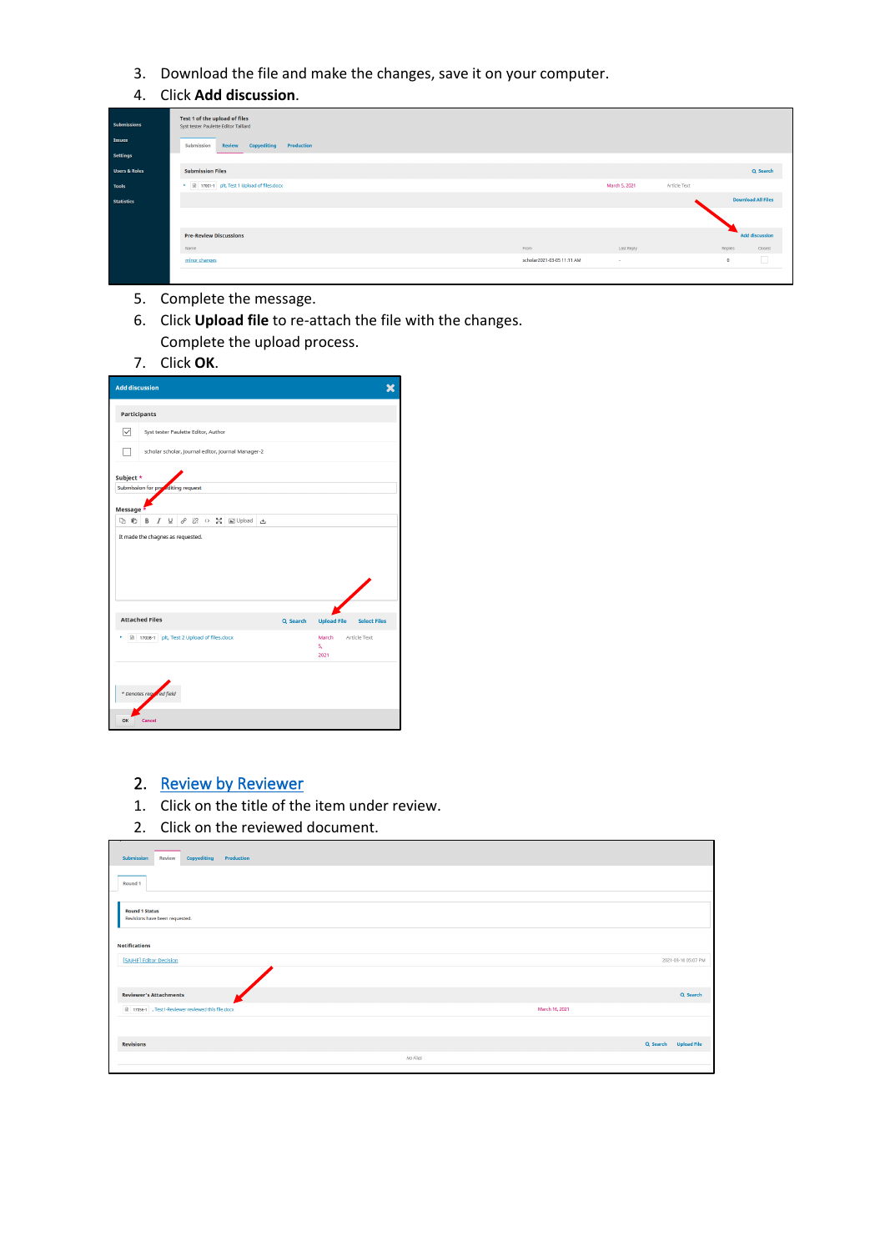- 3. Download the file and make the changes, save it on your computer.
- 4. Click **Add discussion**.

| <b>Submissions</b><br>Issues | Test 1 of the upload of files<br>Syst tester Paulette Editor Talliard<br>Copyediting<br>Submission<br>Review<br>Production |                            |               |                     |           |                           |
|------------------------------|----------------------------------------------------------------------------------------------------------------------------|----------------------------|---------------|---------------------|-----------|---------------------------|
| Settings                     |                                                                                                                            |                            |               |                     |           |                           |
| <b>Users &amp; Roles</b>     | <b>Submission Files</b>                                                                                                    |                            |               |                     |           | Q Search                  |
| <b>Tools</b>                 | ▶ <i>a</i> 17001-1 plt, Test 1 Upload of files.docx                                                                        |                            | March 5, 2021 | <b>Article Text</b> |           |                           |
| <b>Statistics</b>            |                                                                                                                            |                            |               |                     |           | <b>Download All Files</b> |
|                              |                                                                                                                            |                            |               |                     |           |                           |
|                              |                                                                                                                            |                            |               |                     |           |                           |
|                              | <b>Pre-Review Discussions</b>                                                                                              |                            |               |                     |           | <b>Add discussion</b>     |
|                              | Name                                                                                                                       | From                       | Last Reply    |                     | Replies   | Closed                    |
|                              | minor changes                                                                                                              | scholar2021-03-05 11:11 AM | $\sim$        |                     | $\bullet$ |                           |
|                              |                                                                                                                            |                            |               |                     |           |                           |

- 5. Complete the message.
- 6. Click **Upload file** to re-attach the file with the changes. Complete the upload process.

| Click OK. |
|-----------|
|-----------|

| <b>Add discussion</b>              |                                          |                    |  |  |                                                    |    |          |                     |                     |  |
|------------------------------------|------------------------------------------|--------------------|--|--|----------------------------------------------------|----|----------|---------------------|---------------------|--|
| Participants                       |                                          |                    |  |  |                                                    |    |          |                     |                     |  |
| ☑                                  | Syst tester Paulette Editor, Author      |                    |  |  |                                                    |    |          |                     |                     |  |
|                                    |                                          |                    |  |  | scholar scholar, Journal editor, Journal Manager-2 |    |          |                     |                     |  |
| Subject *                          |                                          |                    |  |  |                                                    |    |          |                     |                     |  |
| Submission for presediting request |                                          |                    |  |  |                                                    |    |          |                     |                     |  |
| Message                            |                                          |                    |  |  |                                                    |    |          |                     |                     |  |
| 睁<br>D٦                            | в<br>I                                   | $\underline{\cup}$ |  |  | <i>∂</i> 没 ○ 記 国Upload                             | Æ, |          |                     |                     |  |
|                                    |                                          |                    |  |  |                                                    |    |          |                     |                     |  |
|                                    | <b>Attached Files</b>                    |                    |  |  |                                                    |    | Q Search | <b>Upload File</b>  | <b>Select Files</b> |  |
| 58                                 | 17008-1 plt, Test 2 Upload of files.docx |                    |  |  |                                                    |    |          | March<br>s.<br>2021 | Article Text        |  |
|                                    | * Denotes regulaed field                 |                    |  |  |                                                    |    |          |                     |                     |  |
| OK                                 | Cancel                                   |                    |  |  |                                                    |    |          |                     |                     |  |

## <span id="page-1-0"></span>2. Review by Reviewer

- 1. Click on the title of the item under review.
- 2. Click on the reviewed document.

| Submission<br>Copyediting<br>Production<br>Review       |                      |
|---------------------------------------------------------|----------------------|
| Round 1                                                 |                      |
| <b>Round 1 Status</b><br>Revisions have been requested. |                      |
| <b>Notifications</b>                                    |                      |
| [SAJHE] Editor Decision                                 | 2021-03-16 05:07 PM  |
| <b>Reviewer's Attachments</b>                           | Q Search             |
| 17056-1 , Test1-Reviewer reviewed this file.docx        | March 16, 2021       |
| <b>Revisions</b>                                        | Q Search Upload File |
| No Files                                                |                      |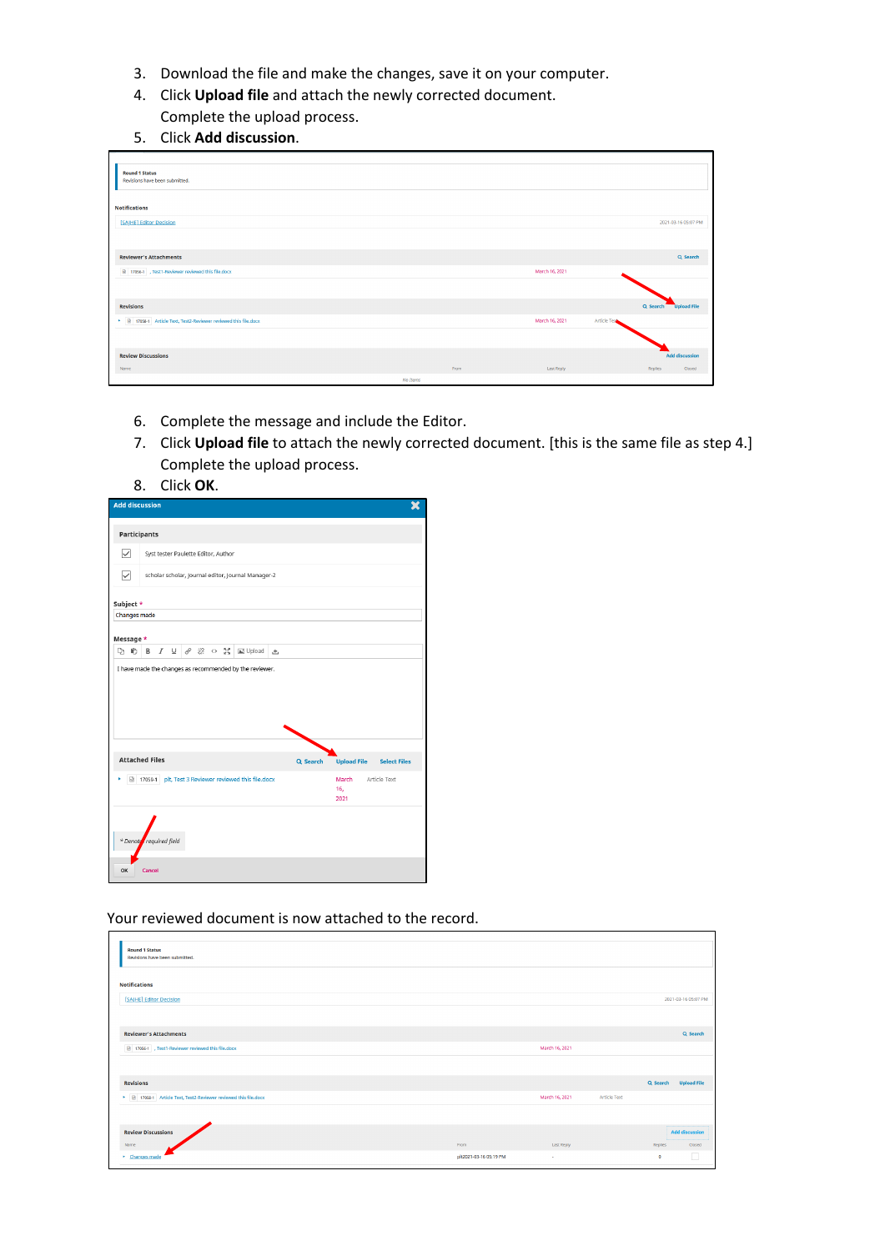- 3. Download the file and make the changes, save it on your computer.
- 4. Click **Upload file** and attach the newly corrected document. Complete the upload process.
- 5. Click **Add discussion**.

| <b>Round 1 Status</b><br>Revisions have been submitted.                 |          |                |                       |
|-------------------------------------------------------------------------|----------|----------------|-----------------------|
|                                                                         |          |                |                       |
| <b>Notifications</b>                                                    |          |                |                       |
| [SAJHE] Editor Decision                                                 |          |                | 2021-03-16 05:07 PM   |
|                                                                         |          |                |                       |
| <b>Reviewer's Attachments</b>                                           |          |                | Q Search              |
| 17056-1 , Test1-Reviewer reviewed this file.docx                        |          | March 16, 2021 |                       |
|                                                                         |          |                |                       |
| <b>Revisions</b>                                                        |          |                | Q Search Upload File  |
| • <b>B</b> 17058-1 Article Text, Test2-Reviewer reviewed this file.docx |          | March 16, 2021 | Article Text          |
|                                                                         |          |                |                       |
| <b>Review Discussions</b>                                               |          |                | <b>Add discussion</b> |
| Name                                                                    | From     | Last Reply     | Replies<br>Closed     |
|                                                                         | No Items |                |                       |

- 6. Complete the message and include the Editor.
- 7. Click **Upload file** to attach the newly corrected document. [this is the same file as step 4.] Complete the upload process.
- 8. Click **OK**.

| <b>Add discussion</b>   |         |  |                                 |                                     |                                                    |          |                    |                     |  |
|-------------------------|---------|--|---------------------------------|-------------------------------------|----------------------------------------------------|----------|--------------------|---------------------|--|
| Participants            |         |  |                                 |                                     |                                                    |          |                    |                     |  |
| $\overline{\checkmark}$ |         |  |                                 | Syst tester Paulette Editor, Author |                                                    |          |                    |                     |  |
| ▽                       |         |  |                                 |                                     | scholar scholar, Journal editor, Journal Manager-2 |          |                    |                     |  |
| Subject *               |         |  |                                 |                                     |                                                    |          |                    |                     |  |
| <b>Changes made</b>     |         |  |                                 |                                     |                                                    |          |                    |                     |  |
| Message *               |         |  |                                 |                                     |                                                    |          |                    |                     |  |
| D O                     | B       |  | $I \perp \emptyset$ & $\circ$ X |                                     | Upload                                             | 凸        |                    |                     |  |
| <b>Attached Files</b>   |         |  |                                 |                                     |                                                    | Q Search | <b>Upload File</b> | <b>Select Files</b> |  |
| ×<br>₪                  | 17059-1 |  |                                 |                                     | plt, Test 3 Reviewer reviewed this file.docx       |          | March              | Article Text        |  |
|                         |         |  |                                 |                                     |                                                    |          | 16,<br>2021        |                     |  |
|                         |         |  |                                 |                                     |                                                    |          |                    |                     |  |
| * Denote required field |         |  |                                 |                                     |                                                    |          |                    |                     |  |
| OK                      | Cancel  |  |                                 |                                     |                                                    |          |                    |                     |  |

Your reviewed document is now attached to the record.

| <b>Round 1 Status</b><br>Revisions have been submitted.                |                        |                |                     |                      |                       |
|------------------------------------------------------------------------|------------------------|----------------|---------------------|----------------------|-----------------------|
| <b>Notifications</b>                                                   |                        |                |                     |                      |                       |
| [SAJHE] Editor Decision                                                |                        |                |                     |                      | 2021-03-16 05:07 PM   |
|                                                                        |                        |                |                     |                      |                       |
| <b>Reviewer's Attachments</b>                                          |                        |                |                     |                      | Q Search              |
| R 17056-1 , Test1-Reviewer reviewed this file.docx                     |                        | March 16, 2021 |                     |                      |                       |
|                                                                        |                        |                |                     |                      |                       |
| <b>Revisions</b>                                                       |                        |                |                     | Q Search Upload File |                       |
| >   a   17058-1   Article Text, Test2-Reviewer reviewed this file.docx |                        | March 16, 2021 | <b>Article Text</b> |                      |                       |
|                                                                        |                        |                |                     |                      |                       |
| <b>Review Discussions</b>                                              |                        |                |                     |                      | <b>Add discussion</b> |
| Name                                                                   | From                   | Last Reply     |                     | Replies              | Closed                |
| Changes made                                                           | plt2021-03-16 05:19 PM | <b>Service</b> |                     | $\mathbf{0}$         | п                     |